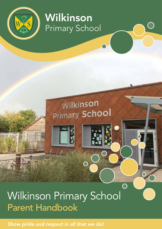

# Wilkinson Primary School

Wilkinson

**Primary School** 

 $\overline{\bigcirc}$ 

# Wilkinson Primary School Parent Handbook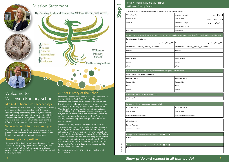Please tear here

## Welcome to Wilkinson Primary School

### Mrs C. J. Gibbon, Head Teacher says ...

"At Wilkinson we aim to provide a safe, secure and caring environment where everyone is valued. To enable each child to develop emotionally, physically, intellectually, spiritually and socially so that they are able to fulfil their true potential. We hope to give our children a wide variety of experiences which will allow them to make informed choices as they move towards adulthood."

### We need some information from you

We need some information from you, so could you please follow the steps in this Parent Handbook, and hand in your completed forms to the school.

### Answering your questions

On page 9-10 is Key Information and pages 11-14 are answers to Frequently Asked Questions. If you have any questions that are not answered here, please contact the school office on 01902 558971 and we will be happy to help!

### A Brief History of the School

Wilkinson School was opened in 1973 as a replacement for the old Daisy Bank Board School. The name Wilkinson was chosen, as the school was built on the historical site of John Wilkinson's iron foundry. He was a leading 18th Century Ironmaster, who inspired the World's first iron bridge and boat. Sadly, in October 2010 Wilkinson School was completely destroyed by fire, the whole community were devastated. However, we now have a new, fit for purpose, 21st Century School, which we helped to design and of which we are very proud.



| Child's Legal Surname:                                                                                        | Boy [ ] Girl [ ]<br>Legal Forename(s):                                                                                                 |
|---------------------------------------------------------------------------------------------------------------|----------------------------------------------------------------------------------------------------------------------------------------|
| Middle Name:                                                                                                  | בתחול בתחול בתחו<br>Date of Birth:                                                                                                     |
|                                                                                                               | $1[\ ]2[\ ]3[\ ]4[\ ]5[\ ]$                                                                                                            |
| Address:                                                                                                      | Position in Family:                                                                                                                    |
|                                                                                                               | Main Telephone No:                                                                                                                     |
| Post Code:                                                                                                    | Main Email:                                                                                                                            |
|                                                                                                               | We are required to record the names and addresses of every person who has parental responsibility for the child under the Children Act |
| Parent(s)/Legal Guardian(s)                                                                                   |                                                                                                                                        |
| $\begin{bmatrix} 1 & 1 \\ 1 & 1 \end{bmatrix}$ Mrs $\begin{bmatrix} 1 & 1 \\ 1 & 1 \end{bmatrix}$ Ms<br>Name: | $\begin{bmatrix} 1 \end{bmatrix}$ Mr $\begin{bmatrix} 1 \end{bmatrix}$ Mrs $\begin{bmatrix} 1 \end{bmatrix}$ Ms<br>Name:               |
| Relationship: [ ] Mother [ ] Father [ ] Guardian                                                              | Relationship: [ ] Mother [ ] Father [ ] Guardian                                                                                       |
| Address:                                                                                                      | Address:                                                                                                                               |
|                                                                                                               |                                                                                                                                        |
| Home Number:                                                                                                  | Home Number:                                                                                                                           |
| Mobile:                                                                                                       | Mobile:                                                                                                                                |
| Work:                                                                                                         | Work:                                                                                                                                  |
| In case of illness or accident, please provide additional emergency contact numbers.                          |                                                                                                                                        |
| Other Contacts in Case Of Emergency                                                                           |                                                                                                                                        |
| <b>Contact 1 Name:</b>                                                                                        | <b>Contact 2 Name:</b>                                                                                                                 |
| Relationship:                                                                                                 | Relationship:                                                                                                                          |
| Mobile:                                                                                                       | Mobile:                                                                                                                                |
| Other:                                                                                                        | Other:                                                                                                                                 |
| Is the child in the care of the local authority?                                                              |                                                                                                                                        |
| Yes $\begin{bmatrix} 1 \\ 2 \end{bmatrix}$ No $\begin{bmatrix} 1 \\ 2 \end{bmatrix}$                          |                                                                                                                                        |
|                                                                                                               |                                                                                                                                        |
| For parents living at the same address as the child?                                                          |                                                                                                                                        |
| Contact 1 Full Name:                                                                                          | <b>Contact 2 Full Name:</b>                                                                                                            |
| Date of Birth:                                                                                                | Date of Birth:                                                                                                                         |
| National Insurance Number:                                                                                    | National Insurance Number:                                                                                                             |
| Child's Doctor's                                                                                              |                                                                                                                                        |
| Surgery Address:                                                                                              |                                                                                                                                        |
| Telephone Number:                                                                                             |                                                                                                                                        |
|                                                                                                               |                                                                                                                                        |
|                                                                                                               |                                                                                                                                        |
| $YES$ NO $L$<br>Does your child have any medical conditions?                                                  |                                                                                                                                        |
| Details:                                                                                                      |                                                                                                                                        |
| NO <sub>2</sub><br>YES<br>Does your child take any regular medication?                                        |                                                                                                                                        |

Wilkinson Primary School sees itself at the heart of the Bradley community and has links with a number of local organisations. We currently have 500 pupils on roll aged 2 – 11 and we are a 2 form entry school. For further details on admissions please refer to the School Admissions section on our website. We provide before/ after school and holiday care for pupils aged 4-11 and this facility is open for 50 weeks each year. In addition, twice weekly Parent and Toddler groups are held for children from birth to three.

Life here is always busy and we are all really proud of our school.

| Legal Forename(s):  | $Boy[\ ]Girl[\ ]$                                |
|---------------------|--------------------------------------------------|
| Date of Birth:      | י בחרות והחרות והחרות<br>יש בהם המשורש ביש ביש ב |
| Position in Family: | $1$ []2[]3[]4[]5[]                               |
| Main Telephone No:  |                                                  |
| Main Fmail:         |                                                  |

| Ś | Name:                                            | $\begin{bmatrix} 1 \end{bmatrix}$ Mr $\begin{bmatrix} 1 \end{bmatrix}$ Mrs $\begin{bmatrix} 1 \end{bmatrix}$ Ms |
|---|--------------------------------------------------|-----------------------------------------------------------------------------------------------------------------|
|   | Relationship: [J] Mother [J] Father [J] Guardian |                                                                                                                 |
|   | Address:                                         |                                                                                                                 |
|   |                                                  |                                                                                                                 |
|   | Home Number:                                     |                                                                                                                 |
|   | Mobile:                                          |                                                                                                                 |
|   | Work:                                            |                                                                                                                 |
|   |                                                  |                                                                                                                 |

| <b>Contact 2 Full Name:</b> |
|-----------------------------|
| Date of Birth:              |
| National Insurance Number:  |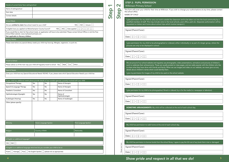NAME OF CHILD ...........................................................................................................................................................................

carry out work outside the classroom and to be taken out into the local community by a ay include visits to the local schools, post office, park etc. (Separate authorisation will be about school trips which involve transport.)

be photographed or videoed, either individually or as part of a larger group, where the

e and regularly use photographs, video presentations, animations and pictures of children's nts. These are usually posted on class pages, and are really popular with the children who like i friends and family. When we use images and video on our website, we never give out any

my child to be used on the school website.

ohotographed, filmed or videoed, by or for the media (i.e. newspaper or television).

My child will be collected at the end of each school day.

ome at the end of each school day.

books from the school library. I agree to pay the full cost of any book that is lost or damaged.

| Details of current Early Years setting/school                                                                                  |            |                      |                                        |                                                                                                                                            |      | <b>STEP 2: PUPIL PERMISSION</b><br>$\boldsymbol{\mathsf{N}}$<br><b>Wilkinson Primary School</b>                                                                                                                                                                                                   |
|--------------------------------------------------------------------------------------------------------------------------------|------------|----------------------|----------------------------------------|--------------------------------------------------------------------------------------------------------------------------------------------|------|---------------------------------------------------------------------------------------------------------------------------------------------------------------------------------------------------------------------------------------------------------------------------------------------------|
| Name of setting/school                                                                                                         |            |                      |                                        |                                                                                                                                            |      | This form will cover your child for their time at Wilkinson.                                                                                                                                                                                                                                      |
| Start date                                                                                                                     |            |                      |                                        |                                                                                                                                            |      | the school office.                                                                                                                                                                                                                                                                                |
| Contact details                                                                                                                |            |                      |                                        |                                                                                                                                            | Step | Step                                                                                                                                                                                                                                                                                              |
| <b>School Meals</b>                                                                                                            |            |                      |                                        |                                                                                                                                            |      | I give permission for my child to carry out work outside<br>qualified member of staff. This may include visits to the                                                                                                                                                                             |
| Are you entitled to claim free school meals for your child?                                                                    |            |                      |                                        | YES [ ] NO [ ] Unsure [ ]                                                                                                                  |      | requested on letters sent home about school trips whic                                                                                                                                                                                                                                            |
| If eligible have you applied via Wolverhampton County Council?                                                                 |            |                      |                                        | YES[] NO[] Date applied [][]/[][]/[][]                                                                                                     |      | Signed (Parent/Carer):                                                                                                                                                                                                                                                                            |
| School Meal website: www.myfreeschoolmeals.com<br>Not applicable to Nursery children.                                          |            |                      |                                        | If you would like to claim for free school meals, an application will have to be submitted. Please contact School Office or visit the Free |      | $\textsf{Date:} [\begin{smallmatrix} 1 & 1 \\ 1 & 1 \end{smallmatrix}, \begin{smallmatrix} 1 & 1 & 1 \\ 1 & 1 & 1 \end{smallmatrix}, \begin{smallmatrix} 1 & 1 & 1 \\ 1 & 1 & 1 \end{smallmatrix}]$                                                                                               |
| <b>Dietary Needs</b>                                                                                                           |            |                      |                                        |                                                                                                                                            |      |                                                                                                                                                                                                                                                                                                   |
| Please state below any special dietary needs your child may have eg: Allergies, vegetarian, no pork etc.                       |            |                      |                                        |                                                                                                                                            |      | I give permission for my child to be photographed or v<br>pictures are only to be displayed in school.                                                                                                                                                                                            |
|                                                                                                                                |            |                      |                                        |                                                                                                                                            |      | Signed (Parent/Carer):                                                                                                                                                                                                                                                                            |
|                                                                                                                                |            |                      |                                        |                                                                                                                                            |      | $\textsf{Date:} [\texttt{J}[\texttt{J}]/[\texttt{J}[\texttt{J}]/[\texttt{J}[\texttt{J}]$                                                                                                                                                                                                          |
| <b>Travel to School</b>                                                                                                        |            |                      |                                        |                                                                                                                                            |      | We are proud of our school website and regularly use pho                                                                                                                                                                                                                                          |
| Please advise us of the main way your child will regularly travel to school: Bus Walk [ ] Car [ ] Other_                       |            |                      |                                        |                                                                                                                                            |      | work to celebrate their achievements. These are usually p<br>to share what they have done with friends and family. Wh                                                                                                                                                                             |
| <b>Special Needs</b>                                                                                                           |            |                      |                                        |                                                                                                                                            |      | details about children's names which could identify them.                                                                                                                                                                                                                                         |
| Does your child have any Special Educational Needs YES/NO. If yes, please state which Special Education Need/s your child has: |            |                      |                                        |                                                                                                                                            |      | I give my permission for images of my child to be used or                                                                                                                                                                                                                                         |
|                                                                                                                                |            |                      |                                        |                                                                                                                                            |      | Signed (Parent/Carer):                                                                                                                                                                                                                                                                            |
| If your child has additional needs please provide details of any outside agencies currently involved with your child           |            |                      |                                        |                                                                                                                                            |      |                                                                                                                                                                                                                                                                                                   |
| Occupational Therapy<br>Speech & Language Therapy                                                                              | Yes<br>Yes | No<br>No             | Name of therapist<br>Name of therapist |                                                                                                                                            |      | $\textsf{Date}:\textcolor{red}{\texttt{[}^{\texttt{T1}}\texttt{[}^{\texttt{T1}}\texttt{]}\texttt{[}^{\texttt{T1}}\texttt{[}^{\texttt{T1}}\texttt{]}\texttt{[}^{\texttt{T1}}\texttt{[}^{\texttt{T1}}\texttt{]}}\texttt{]}}$                                                                        |
| Paediatric Consultant                                                                                                          | Yes        | No                   | Name of Consultant                     |                                                                                                                                            |      | I give permission for my child to be photographed, filmed o                                                                                                                                                                                                                                       |
| Ophthalmologist (Eyesight)                                                                                                     | Yes        | No                   | Name of                                |                                                                                                                                            |      |                                                                                                                                                                                                                                                                                                   |
| Audiologist (Hearing)                                                                                                          | Yes        | ${\sf No}$           | Ophthalmologist<br>Name of Audiologist |                                                                                                                                            |      | Signed (Parent/Carer):                                                                                                                                                                                                                                                                            |
| Other (please specify)                                                                                                         |            |                      |                                        |                                                                                                                                            |      | $Date: [\ ] [\ ] / [\ ] / [\ ] [\ ] / [\ ]$                                                                                                                                                                                                                                                       |
|                                                                                                                                |            |                      |                                        |                                                                                                                                            |      |                                                                                                                                                                                                                                                                                                   |
|                                                                                                                                |            |                      |                                        |                                                                                                                                            |      | HOMETIME ARRANGEMENTS: My child will be colled                                                                                                                                                                                                                                                    |
|                                                                                                                                |            |                      |                                        |                                                                                                                                            |      | Signed (Parent/Carer):                                                                                                                                                                                                                                                                            |
|                                                                                                                                |            |                      |                                        |                                                                                                                                            |      | Date: $[$ $]$ $[$ $]$ $/$ $[$ $]$ $[$ $]$ $/$ $[$ $]$ $[$ $]$ $[$ $]$ $[$ $]$ $[$ $]$ $[$ $]$ $[$ $]$ $[$ $]$ $[$ $]$ $[$ $]$ $[$ $]$ $[$ $]$ $[$ $]$ $[$ $]$ $[$ $]$ $[$ $]$ $[$ $]$ $[$ $]$ $[$ $]$ $[$ $]$ $[$ $]$ $[$ $]$ $[$ $]$ $[$ $]$ $[$ $]$ $[$ $]$ $[$ $]$ $[$ $]$ $[$ $]$ $[$ $]$ $[$ |
| Ethnicity                                                                                                                      |            | Home Language Spoken |                                        | First Language Spoken                                                                                                                      |      | My child has permission to walk home at the end of ead                                                                                                                                                                                                                                            |
| Religion                                                                                                                       |            | Country of Birth     |                                        | Nationality                                                                                                                                |      | Signed (Parent/Carer):                                                                                                                                                                                                                                                                            |
|                                                                                                                                |            |                      |                                        |                                                                                                                                            |      | $Date: [\ ] [\ ] / [\ ] / [\ ] [\ ] / [\ ]$                                                                                                                                                                                                                                                       |
| Is English an additional language?                                                                                             |            |                      |                                        |                                                                                                                                            |      | My child has permission to borrow books from the school li                                                                                                                                                                                                                                        |
| YES[]NO[]                                                                                                                      |            |                      |                                        |                                                                                                                                            |      | tear here                                                                                                                                                                                                                                                                                         |
| If English is an additional language what level do you consider your child to be at                                            |            |                      |                                        |                                                                                                                                            |      | Signed (Parent/Carer):                                                                                                                                                                                                                                                                            |
| Fluent [ ] Average [ ] Poor [ ] No English Spoken [ ] (please tick as appropriate)                                             |            |                      |                                        |                                                                                                                                            |      | Please<br>                                                                                                                                                                                                                                                                                        |

### <sup>4</sup> *Show pride and respect in all that we do!* <sup>5</sup>

#### their time at Wilkinson. If you wish to change your authorisations at any time, please contact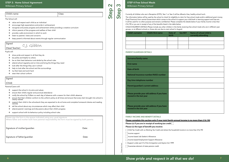Step 2

Step 3

## STEP 3: Home School Agreement

Wilkinson Primary School

#### Child's name: Child's name:

Please tear here

- [] Income based Job Seeker's Allowance
- [ $\frac{1}{2}$ ] Income based Employment Support Allowance
- [] Support under part VI of the Immigration and Asylum Act 1999
- [] Guarantee element of state pension credit

The School will:

- show pride and respect in all that they do
- $\div$  be polite and helpful to others
- $\div$  be on their best behaviour and abide by the school rules
- attend school regularly and on time and bring the things they need
- ❖ look after the things they use in school
- help to look after the school and the surroundings
- ❖ try their best and work hard
- ❖ wear their school uniform
- value and respect each child as an individual
- encourage high expectations and pride in achievement
- recognise and praise progress and achievement whilst providing a creative curriculum
- inform parents of the progress and welfare of their child
- provide a safe environment in which to work
- ❖ listen to parents' views and concerns
- keep parent's informed about events through regular communication

Signed

(Head Teacher)

Pupils will:

- $\cdot$  support the school in its aims and values
- ensure their child's regular and punctual attendance
- notify the school by 9.00am on each day of absence with a reason for their child's absence
- ensure that their children conform to the uniform policy at all times and ensure that every item brought into school is clearly named
- support their child in the schoolwork they are expected to do at home and complete homework diaries and reading records
- ❖ tell the school about any circumstances which may affect their child
- attend parents' evenings and discussions about their child's progress
- support school with its behaviour policy including school rules

Please sign the form in the spaces indicated using your usual signature. Where father and mother both have parental responsibiliity the form must be signed by both parents.

Signature of mother/guardian Date:

Signature of father/guardian Date:

Signed

(Child)

Parents/Carers will:

Currently all children who are in Reception (EYFS), Year 1 or Year 2 will be offered a free, healthy school lunch. The information below will be used by the school to check for eligibility to claim for free school meals and/or additional grant money (Pupil Premium) from central Government which comes to the school to support your child both in learning support and trips etc... It will be used for no other purpose and remains confidential. Please complete the details below if your family income is less than £16,190 or you are in receipt of any of the benefits listed in the table below: CHILD/CHILDREN'S DETAILS (Please include any other children in the family receiving free school meals who are in different year groups, or at different schools or those who are due to start school in August)

| <b>Child's surname</b> | <b>Child's first name</b> | Date of<br>birth | Sex M/F | Name of school child is<br>currently attending |
|------------------------|---------------------------|------------------|---------|------------------------------------------------|
|                        |                           |                  |         |                                                |
|                        |                           |                  |         |                                                |
|                        |                           |                  |         |                                                |

#### **PARENT/GUARDIAN DETAILS**

| <b>Surname/family name</b>                                                                                                                                                                                           |  |  |  |
|----------------------------------------------------------------------------------------------------------------------------------------------------------------------------------------------------------------------|--|--|--|
| <b>First name</b>                                                                                                                                                                                                    |  |  |  |
| Date of birth                                                                                                                                                                                                        |  |  |  |
| <b>National Insurance number/NASS number</b>                                                                                                                                                                         |  |  |  |
| Day time telephone number                                                                                                                                                                                            |  |  |  |
| Parent/guardian's current address                                                                                                                                                                                    |  |  |  |
| Please provide your old address if you have<br>moved in the last year                                                                                                                                                |  |  |  |
| Please provide your old address if you have<br>moved in the last year                                                                                                                                                |  |  |  |
| <b>FAMILY INCOME AND BENEFIT DETAILS</b><br>Please complete this section only if your joint family annual income is no more than £16.190<br>Please (x) if you are in receipt of working tax credit $\left[\right]$ . |  |  |  |
|                                                                                                                                                                                                                      |  |  |  |

**Please (x) if you are in receipt of working tax credit Please (x) the type of benefit you receive:**

- C Child Tax Credit with no Working Tax Credit and where the household income is no more than £16,190
- [] Income support

### STEP 4 Free School Meals Wilkinson Primary School

### C.J. Gibbon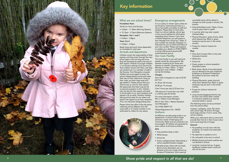

## Key information

#### What are our school times? Foundation Years

- Terrific for Two's and Nursery:
- 8.30am 11.30am (Morning Session).
- 12.15pm 3.15pm (Afternoon Session).
- Reception, Year 1 and 2
- 8.45am 3.00pm
- Years 3 to 6
- 8.30am 2.45pm

Break times and lunch times dependant on timetable for each year.

#### Arrivals and departures

Children remain the responsibility of their parents until they enter through the main school gate in the morning and once they are dismissed by staff at the end of their session. Parents of younger children in our Nursery settings must ensure that their children remain with them until they are handed over to a member of staff in the Nursery. From Reception onwards children are encouraged to enter the school independently and should make their way to their classrooms, hang up their coats, put their bags away and get settled in. Please ensure that your child arrives on time for their session. We appreciate that there may be the occasional exception to this. Children who are late for their session will need to be brought to our main reception and signed in by an adult. Similarly, children leaving school early for any reason will need to be signed out at main reception. This is an important safeguarding issue.

> At Wilkinson we take great pride in our appearance. A school uniform helps promote a sense of belonging and community. Water and sun protection are encouraged. All children are expected to wear uniform at all times as follows:

Please inform the office if the the person collecting will be different from the usual adult or if a family member is not authorised to collect for any reason.



### Emergency arrangements

It is our policy to remain open unless we are forced to close because there is a risk to the health and safety of staff and students. Please listen to local radio, check our school website, school app or the council website for information regarding school closure. If you have a mobile telephone, you will receive a text message from school by 7.30am. If your number has recently changed, it is important for you to inform the office of your new number. Please call reception to update your details on 01902 558971 or email wilkinsonprimaryschool@ wolverhampton.gov.uk.

### Our Care Facility

The Care Facility is very well used and greatly valued by many parents. We operate a waiting list for those who express an interest. Opening hours are Monday to Friday 7.45am – 5.15pm during term time. 8.00am - 5.00pm during the holidays.

#### Charges:

Each child is charged at a rate of £2.50 per hour

£1.30 per 30 minutes

£0.80 per 15 minutes

Over 5 hours per day £2.25 per hour

10% discount if more than one child in a family uses the facility.

For more information contact: Mrs C. Gibbon (Care Manager)

Mrs R. Hall / Mrs L. Meese (Assistant Care Managers)

Tel: 01902 558971/73

#### Ofsted Registration No: 104325 Uniform

- Girls
- Grey pinafore dress or skirt.
- White blouse.
- School tie.
- Green cardigan/jumper alternatively a school sweatshirt/sweat cardigan
- Sensible shoes, black with low heels. Boots of any description are not allowed to be worn inside school e.g. Rockport/Timberland. (Girls wearing

unsuitable shoes will be asked to change into their pumps in school). No trainers.

- Grey/white/black socks. Tights, if worn, must be grey, black or green
- In summer girls may wear a green checked dress.
- Physical Education: green shorts, white short sleeved top. Black or green tracksuits may be worn in the winter months.
- Pumps for indoors/ trainers for outside.

#### Boys

- Grey short trousers (Year 6 only wear long grey trousers).
- White shirt.
- School tie.
- Green jumper or school sweatshirt. Grey/black socks.
- Black shoes –Boots of any description are not allowed to be worn inside the building e.g. Rockport/Timberland No trainers to be worn inside the building.
- Physical Education: green shorts & white short sleeved top. Black or green tracksuits may be worn in the winter months.
- Pumps for indoors/ trainers for outdoors.
- Long trousers/jogging bottoms may be worn over shorts when outside in inclement weather but must be removed whilst in school.

The following items can be purchased from the school office:

Jumpers, cardigans, coats, PE t-shirts with school logo, PE shorts, PE bags, book bags and ties. If not in stock, they can be ordered.

When your child starts with us school will provide their first tie in their house colour and a book bag free of charge.

#### General:

- No jewellery is to be worn with the exception of a watch and small plain ear studs.
- No dyed hair or patterns cut in.
- No nail polish to be worn in school.
- Mobile phones and smart watches are not allowed in School.
- Long hair must be tied up. A green headband, bobble and/or small hair clip can be worn.

- 
- 
- 
- 
-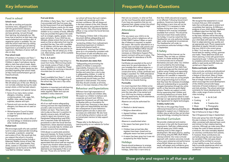## Key information **Figure 1.2 The Section Asked Questions Figure 1.2 The Section Asked Questions**

Here are our answers, to what we find, are the most frequently asked questions. If you have any questions that are not answered here, please contact the school office and we will be happy to help!

### **Attendance**

#### Absence

If for any reason your child is to be absent from school a telephone call on 01902 558971 before 9.00am on each day of absence is required, to explain the reason. We monitor attendance on a regular basis and liaise with parents and our Educational Welfare Officer should we have concerns. Where deemed necessary an Attendance Support Plan (parent contract) will be put in place. The annual target for attendance is 96.4%.

#### Good attendance

Certificates are awarded at the end of every term for good attendance. For one complete term without absence, a Bronze certificate is awarded. For two consecutive terms, a Silver certificate and badge is awarded. For 100% attendance for a complete year, a Gold certificate, badge and book token is presented to the child at an Awards Evening.

#### Punctuality

It is most important that children arrive at school on time as lessons start straight away. It is often disruptive when a child joins the class after it has started and your child may be missing a valuable learning opportunity. As with attendance, this will be monitored.

Absence can only be authorised for:

- Illness.
- Medical or dental reasons.
- Religious observations.
- Agreed holidays exceptional circumstances.
- Exclusions.
- Absence is unauthorised when:
- No reason has been given for an absence.
- Children have arrived late after registers have been closed and no adequate reason has been provided
- A reason has been given but it was not accepted by the Head Teacher.

### **Holidays**

Parents should endeavour to arrange their family holidays within the school holidays, rather than in term time so

that their child's educational progress is not affected. Following Government guidance, Governors have decided that holidays in term time will not be authorised. If it is necessary to take holidays during term time, a Leave of Absence form must be completed (available from school). This should be returned at least three weeks before the holiday. It must be noted that the Headteacher can only authorise holidays taken under exceptional circumstances. The Headteacher will under no circumstances authorise holidays in May or September.

### E-Safety

- 
- Sports Art & Craft
- Cooking IT
- Media Creative Arts
- 
- Music Photography

Technology and the Internet can be fantastic: they can help our children to learn, to create amazing things, to communicate and to entertain themselves and each other. Our children are surrounded by this technology… it is part and parcel of their daily lives. Using technology and the internet well is about using it safely and responsibly. Things can go wrong by accident or if behaviour isn't sensible or respectful. Our job is not to stop our young people from using technology but to ensure that they have the necessary knowledge, skills and understanding to successfully navigate themselves through the online world, so they become good digital citizens. Parents can support us with this by supervising their children and monitoring behaviours at home. Both you and your child will be asked to read and sign our age appropriate Acceptable User Agreement for digital technologies.

#### E-Safety Useful Links

The links on this page http://www. wilkinsonprimaryschool.co.uk/esafety are designed to support you in helping your children stay as safe as they can be when using technology, including the Internet.

### Enriched Curriculum

We provide a balanced and creative curriculum in line with the Government requirements. Staff plan collaboratively and will assess your child's needs, matching work to their stage of development. We teach phonics, reading and writing using the RML (Ruth Miskin Literacy) scheme. Our cross curricular approach with creative outcomes include a focus upon enterprise and performance where British Values are intrinsic. As a result, self-esteem and confidence grow and the vital skills for life are developed.

#### Assessment

We recognise that assessment is crucial to ensure that your child completes tasks that continually sees to extend and consolidate their learning. At Wilkinson, evidence of your child's ability is gathered in different ways from the Early Years Foundation Stage onwards. On a dayto-day basis, teachers will be discussing, questioning, marking and observing how your child deals with tasks set. This allows them to adapt planning very quickly and set appropriate work. Phonic assessments take place at regular intervals to ensure that your child is in the correct group. In Years 1 to 6 we also carry out more formal tests for reading, writing, grammar and maths. These determine levels and inform planning. In line with government requirements year 1 children are required to complete a phonics test to check their ability to read words and SATs tests are carried out in Years 2 and 6.

#### Extra-curricular activities

Extra-curricular activities and educational visits enrich our curriculum and are also a feature of the school. Many of these are offered after school by staff and are free of charge. Events are organised which encourage the social development of the children and provide happy memories of honest endeavour in sport and club activities. The school welcomes comments for future developments. We offer a wide range of extra-curricular clubs including:

"protecting children from maltreatment; preventing impairment of children's mental and physical health or development; ensuring that children grow up in circumstances consistent with the provision of safe and effective care; and taking action to enable all children to have the best outcomes."

#### Residential Trips and Visits

Year 6 Fairbourne (2 days in May)

Year 2 Kingswood (2 days in September)

Every year group has visits throughout the year to places of interest. These are often connected with planned topic work and intrinsic to their creative learning outcome. Although we make every effort to keep the costs of these ventures to a minimum, the visits inevitably depend on voluntary contributions from parents. If, however, these contributions are not forthcoming the visit may have to be cancelled. If the visit goes ahead no pupil will be omitted on account of any inability to pay. Such activities help to provide experiences which are so important to future happiness in adulthood.

Wilkinson have high expectations of behaviour for adults and children alike. We expect our children to behave well, cooperate and work hard. Within a supportive framework we will help them to develop skills as a foundation for their future lives. Everyone is clear about their rights and responsibilities and also the consequences of poor behaviour. Reward systems are also in place and successes are celebrated. We also have an anti-bullying scheme in place as well as trained peer mentors to help support children.

### Food in school

#### School meals

We offer an exciting and popular lunchtime menu, designed in line with the government's statutory standards for school meals. Our children are busy growing, not just through their learning, but physically too. We know that to perform at their best, they need a balanced and nutritious diet. A vegetarian option is available. You can view the school meal menu by visiting www.wolverhampton.gov.uk/catering. Supervision is provided by lunch time supervisors. Members of senior staff are also on duty.

#### Free school meals

All children in Foundation and Years 1 and 2 are eligible for free schools meals. Children in years 3 and above may be able to claim free school meals. Apply online for an instant decision or contact the school office. Further details are also provided regarding free school meals at http://www.wolverhampton.gov.uk/ freeschoolmeals.

#### Dinner money

Dinner money is collected on Mondays. We will advise you of the cost. Money is not normally collected during the week except where a child has been absent.

Allergy information and special menus

- Some of our menu items contain allergens, including…cereals containing gluten, milk, eggs, fish, shellfish, soya, celery, mustard, sulphites, sesame and lupin.
- Peanuts and nuts are also classed as allergens, but these are not used on our menu.
- Wolverhampton Council is happy to cater for special diets by prior arrangement.
- You must inform the school office of any food allergy or intolerance and/or other medical conditions.

#### Packed lunch

We encourage pupils who eat a packed lunch to enjoy a balanced diet including, for example, a sandwich, cereal bar and a piece of fruit. We would ask that you support the school in its policy by ensuring packed lunches include a balanced, healthy choice of food. We do not allow cans, glass bottles, fizzy drinks, sweets or chocolate in school. Suggestions can be found on the NHS 'Live Well for Children' website.

#### Fruit and drinks

All children in Early Years, Year 1 and Year 2 are provided with free fruit every day by the Government Fruit and Vegetables for Schools Scheme; snacks do not need to be provided from home. To encourage children to try a variety of foods, different fruits are provided throughout the week such as oranges, apples, grapes, raisins, pears and plums. If your child has any allergies, please ensure that we are made aware so that an alternative fruit may be provided that day. Free milk is available for all children until the term after they are 5. After this, milk can be paid for on a termly basis. We will advise you of the cost. Alternatively, water will be available in the classroom.

#### Year 3, 4, 5 and 6

Children in Key Stage 2 may bring in a snack from home. Mid-morning snacks may include a piece of fresh or dried fruit, vegetables or a cereal bar. Please ensure children do not bring in biscuits or chocolate bars for snack time.

#### Toast

Toast is available from Years 1 – 6 and should be ordered at the beginning of the school day. The cost is 10p a slice.

#### Water bottles

Hydration is important and aids learning and we encourage children to drink water regularly. Water and cups are available in every classroom.

### Safeguarding and Child Protection

All of our staff receive safeguarding training and have the responsibility to provide a safe environment in which children can learn. They have a vital role to play as they are in a position to identify concerns early. All staff have a duty to report any concerns to our Designated Safeguarding Lead (DSL) who is required under the Authority's procedures to alert the Social Services Department, where deemed necessary, in order to provide help for children and prevent concerns from escalating.

Child abuse is a particularly sensitive issue and imposes, for those involved, particularly parents, strong feelings and emotions. However, whatever parents feel about a situation it needs to be appreciated that school staff are required to report any situation where abuse is suspected, a member of staff could be deemed to act improperly if this is not the case. Those who are familiar with

our school will know that such matters are dealt with sensitively and in the strictest confidence. We will always act in the best interest of the child. Parents may seek advice and guidance from the Head Teacher, DSL, Educational Welfare Officer or may contact the Social Services Department.

#### The Keeping Children Safe in Education document defines safeguarding and promoting the welfare of children as:

#### The document also states that:

"Safeguarding and promoting the welfare of children is everyone's responsibility. Everyone who comes into contact with children and their families and carers has a role to play in safeguarding children. In order to fulfil this responsibility effectively, all professionals should make sure their approach is child-centred. This means that they should consider, at all times, what is in the best interests of the child."

#### Behaviour and Expectations

\*Please refer to the Behaviour for Learning policy on our website for further details

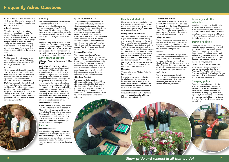## Frequently Asked Questions

We are fortunate to own two minibuses which are used for sporting events and trips wherever possible in order to keep any costs to a minimum.

#### Visitors into school

We welcome a number of visitors into school throughout the year. This includes The Emergency Services, NSPCC, a professional poet, educational workshops, puppeteers, theatre groups and performers to name but a few. During our Enterprise Week a variety of professionals are invited in to give aspirational presentations about their roles and responsibilities in the world of work.

#### Music tuition

All children study music as part of the normal school curriculum. Peripatetic music teachers deliver sessions in KS2. No charge is made for this.

#### Sport and PE

#### Wilkinson Wigglers (Parent and Toddler Group)

We encourage all of our children to be physically active, to lead healthy lives and to engage in sport and wellbeing activities. Wilkinson has an enviable reputation and fantastic facilities including a Multi-Use Games Area (MUGA), a running track, football and rounders pitches and an extensive outside area. Our playground includes a climbing wall, agility and fitness equipment. We participate in numerous sporting activities such as football, cricket, netball, cross country, dance and gymnastics. We have an annual sports day in the Summer term.



#### Swimming

The school organises off site swimming lessons for children in Year 5. These take place in school time and are a compulsory part of the National Curriculum. We inform parents when these lessons are to take place and gain written permission for each child to take part. Again, no charge is made for this.

#### Library

We have a very well stocked library which includes picture books for our youngest readers along with a huge variety of both fiction and non-fiction texts. Children are able to access this for story sessions, to help with research and also as a lending library where books can be taken home.

#### Early Years Educators

We recognise that a number of our children are gifted and talented. These children are identified by their teacher via observation of the child or work produced. This may be influenced by the views of parents and other staff across school. As for all children, we aim to provide appropriately challenging activities.

Established with the help of lottery funding, this group goes from strength to strength. Wilkinson Wigglers is a stay-and-play group for children aged from birth – 3 years and their parents. The group takes place on a Tuesday afternoon in term time. Offering a wide range of activities to develop early learning skills, the session allows time for free play, cooperative craft activities and snack time. The session ends with singing and story time. The cost is £1.00 per family and includes refreshments. The group is coordinated by a school practitioner who runs it with a team of parent volunteers. For further details, please contact the school office.

#### Terrific for Twos Nursery

A new addition to our Early Years phase was the T42 provision which opened in March 2015. Registered for 32 children and offering 15 hour fully funded places. These are allocated according to family circumstances. To find out if your child is eligible please call in or telephone the school. There are a number of paid places available, upon request.

#### **Inclusion**

#### Equal Opportunities

The school actively seeks to maximise the potential of all pupils, regardless of sex, ethnic background, religious belief, social economic circumstances or special educational needs. We endeavour to make the school environment welcoming to all.

#### Special Educational Needs

All children throughout the school are carefully and continuously assessed. If a child is struggling the class teacher may approach the Special Needs Co-ordinator (SENCO). They will investigate whether there may be an underlying special educational need (SEN) causing the difficulties. If, after a period of intervention, SEN is identified, the child will receive additional support to address this need and will be placed on the SEN register. This will help track the support that they receive. Parents will be consulted at all times throughout this process.

#### Emotional Wellbeing

The pastoral team here at Wilkinson meet regularly to discuss any concerns about individual children. A child may not be struggling academically but socially or emotionally. The same process as that above would apply in this case as well. In some cases, school may access specialist services who will support in the assessment and advice on any subsequent intervention or support.

#### Gifted and Talented

#### Health and Medical

Please ensure that we have full and up to date information with regard to any health issues your child may have. The school nursing team may be contacted on 01902 444418/19

#### Visiting Health Professionals

Our school nurse, Julie Thomas, is also a governor here at Wilkinson. Along with her team she carries out standard health surveillance with Reception and Year 6 children. Nurse Julie also delivers sessions in school on matters such as hand washing, personal hygiene, puberty and dental care. Other periodic checks may be made by audiology and dental professionals. In recent years, flu nasal sprays have also been administered to selected year groups. We request that you complete the separate consent form for the School Health Service so that these checks may take place.

#### Medication

\*Please refer to our Medical Policy for further details

If a doctor prescribes medicine to be administered 4 times a day or for any other special arrangements, then a medical consent form must be completed by the parent. Medicine will be kept in the main office.

Children who are absent from school because of vomiting and/or diarrhoea must be kept at home for 24 hours following the last episode.

### Accidents and first aid

Any minor cuts or grazes are dealt with by staff. Other injuries will be assessed by a member of the Senior Management Team and appropriate action will be taken. This may involve a parent being contacted and/or a report slip being sent home. All staff are First Aid trained.

#### Allergic Reactions

Those children who have severe allergic reactions and have been prescribed an epi-pen must supply school with one (or two ideally). Staff are trained to administer this should an emergency arise.

#### Inhalers

All prescribed inhalers are kept in the medical cupboard in the administration area. Please provide a spacer where necessary and ensure that both are clearly labelled with the child's name and class. These will be taken on any trips out of school. Please note down the expiry date of these and replace when due.

#### Defibrillator

We have an emergency defibrillator in school and this is kept in the main administration area. This is available should anyone require it in the immediate vicinity of school.

### Jewellery and other valuables

Jewellery, including rings, should not be worn to school as accidents can occur. In the interests of safety only small studs should be worn in pierced ears. We cannot accept responsibility for any valuable items such as watches and mobile phones. These should be kept at home.

### Training Facilities

The school has a policy of welcoming students from various sources who seek to develop their professional careers. The school plays a key part in the development of teachers, nursery staff and teaching assistants, as well as other groups who wish to have experience of working with children. The usual DBS checks are always sought.

The school is used by Wolverhampton University and Newman for supervised teaching experience for Bachelor of Education, Post Graduate Certificate of Education and Teach First Students. We also welcome pupils from Secondary Schools for work experience opportunities.

#### Charging policy

The school has a charging policy, in accordance with the requirement of Section 110 of the Education Reform Act 1988 and Chapter 32 in the 2002 Education Act. The policy is annually agreed by Governors and applicable to all registered pupils. Please refer to our Charging Policy which can be found on

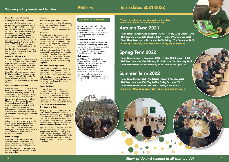## Policies Term dates 2021-2022

*\*Please note the inset days highlighted in yellow. School and care will be closed on these days.*

### Autumn Term 2021

• Term Time: Thursday 2nd September 2021 – Friday 22nd October 2021

- Half Term: Monday 25th October 2021 Friday 29th October 2021
- Term Time: Monday 1st November 2021– Friday 17th December 2021 *\*Inset Days: Thursday 2nd September + Friday 3rd September*

## Spring Term 2022

• Term Time: Tuesday 4th January 2022 – Friday 18th February 2022

- Half Term: Monday 21st February 2022 Friday 25th February 2022
- Term Time: Monday 28th February 2022 Friday 8th April 2022

## Summer Term 2022

- Term Time: Monday 25th April 2022 Friday 27th May 2022
- Half Term: Monday 30th May 2022 Friday 3rd June 2022
- Term Time: Monday 6th June 2022 Friday 22nd July 2022
- *\*Other Inset Days to be confirmed school and care are closed.*

#### Parental involvement in school

We see parents as children's first and continuing educators. We work in partnership with parents to provide the best for our children. This partnership takes many forms e.g. the sharing of information and concerns, setting targets for improvement, enjoying school events together, working together in the classroom, workshops and training for parents...and much more! We are proud to hold the Leading Parent Partnership Award (LPPA) which recognises our commitment to working with our families.

Our shared aim is that our children have the happiest and best possible start and the brightest of futures.

#### Friends of Wilkinson (PTA)

This is an active body of parents, teachers and friends of the school. The PTA seeks to promote good staff-parent relations and to provide social events which form an important link between school and community. Any money raised provides the children with many extra resources. New faces are always welcome – please contact the school office for details. We have a volunteers in school policy and agreement. All PTA members are also DBS checked.

#### Communication with parents

We believe it is essential to have strong links between home, school and the community. All children and parents are asked to sign a Home School Agreement with school that outlines the intentions of all three parties. This can be found on page 6. A copy of this will be returned home to families.

In case it is necessary to contact you because of an accident or illness, it is essential that there is not only a phone number for you but also an alternative contact. You will appreciate the need to keep this information up-to-date and it is vital that the school is notified of a change in circumstances as soon as possible.

We have an open door policy at Wilkinson Primary School where parents are very welcome to discuss any concerns. It is important that we work together straight away to resolve any issues, no matter how big or small. Members of the Senior Management Team are on the gate each morning to welcome children and to take messages. If you wish to speak to your child's class teacher, you can do this at the end of the school day when all children have been safely dismissed. If you wish to talk in private, please book an appointment.

We work closely with our Governors here at Wilkinson. They are responsible for working with us to ensure that we deliver a good quality education. Together with the head teacher, they set the school's aims and policies. Our Governing Body consists of people with a range of skills, expertise and knowledge which can be drawn upon to both run and develop the school. Our Governors come from a variety of backgrounds; parents, people from the local community, members of staff and the Head Teacher. Brief biographies of the governors can be found on our website. Along with contact details for our Chair of Governors.

Regular newsletters are issued with details of important school news, events and dates. Many of our parents have the 'myschool' app which allows two-way communication. We also use the text messaging service and all children receive a free copy of our 'Wilkinson World' newspaper each term.

#### Parent's Evenings

We hold Parent's Evenings each term which provide an opportunity for you to attend school and discuss your child's progress with the class teacher. If at any point during the school year you wish to receive an update, please book this with the class teacher.

#### Reports

As well as progress updates at termly parent's evenings your child will receive an end of year report in July. Should you wish to discuss any aspect of this there is an opportunity at the July parent's evening.

#### At home

Naturally, parental involvement is not confined to school. Children are learning all the time and their parents and wider family are partners in their education with the school. We do provide homework, in line with the needs of the children, their age and their ability and in line with national expectations. We provide opportunities for feedback from parents in the form of reading diaries and in homework comments boxes. We hope that this remains a time when children and parents can have some fun working together.

#### The Home School Agreement

#### Contacting Parents

#### Our Governing Body

#### Why do we need policies?

For a school to offer high quality education and care, it needs policies; they are important in helping to develop and define a set of consistent rules, regulations, procedures and protocols.

#### Parents need policies

Policies are also useful to parents. For example, a prospective parent might wish to view a school's behaviour policy or special educational needs policy, before deciding whether to apply for their child to attend the school.

#### High standards

At Wilkinson Primary School, we believe policies are vitally important in helping us to create standards of quality for learning and safety, as well as expectations and accountability. If you want to know what policies we have, you can either visit our website www. wilkinsonprimaryschool.co.uk or call the school office and ask for a copy of a policy.